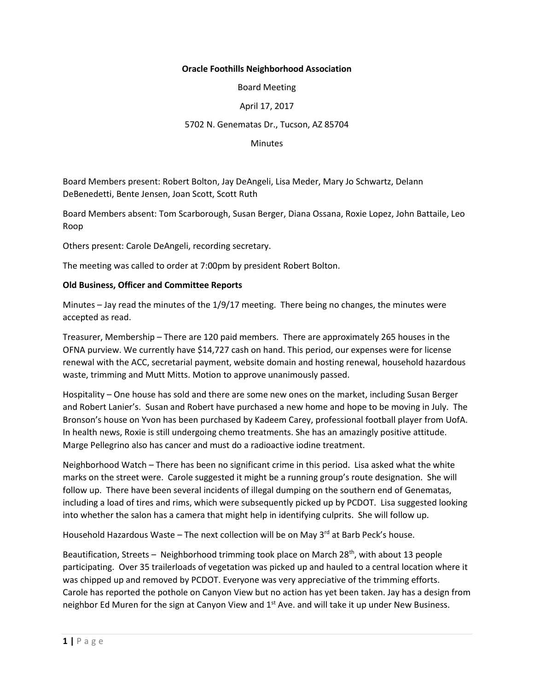# **Oracle Foothills Neighborhood Association**

Board Meeting

## April 17, 2017

### 5702 N. Genematas Dr., Tucson, AZ 85704

#### **Minutes**

Board Members present: Robert Bolton, Jay DeAngeli, Lisa Meder, Mary Jo Schwartz, Delann DeBenedetti, Bente Jensen, Joan Scott, Scott Ruth

Board Members absent: Tom Scarborough, Susan Berger, Diana Ossana, Roxie Lopez, John Battaile, Leo Roop

Others present: Carole DeAngeli, recording secretary.

The meeting was called to order at 7:00pm by president Robert Bolton.

#### **Old Business, Officer and Committee Reports**

Minutes – Jay read the minutes of the 1/9/17 meeting. There being no changes, the minutes were accepted as read.

Treasurer, Membership – There are 120 paid members. There are approximately 265 houses in the OFNA purview. We currently have \$14,727 cash on hand. This period, our expenses were for license renewal with the ACC, secretarial payment, website domain and hosting renewal, household hazardous waste, trimming and Mutt Mitts. Motion to approve unanimously passed.

Hospitality – One house has sold and there are some new ones on the market, including Susan Berger and Robert Lanier's. Susan and Robert have purchased a new home and hope to be moving in July. The Bronson's house on Yvon has been purchased by Kadeem Carey, professional football player from UofA. In health news, Roxie is still undergoing chemo treatments. She has an amazingly positive attitude. Marge Pellegrino also has cancer and must do a radioactive iodine treatment.

Neighborhood Watch – There has been no significant crime in this period. Lisa asked what the white marks on the street were. Carole suggested it might be a running group's route designation. She will follow up. There have been several incidents of illegal dumping on the southern end of Genematas, including a load of tires and rims, which were subsequently picked up by PCDOT. Lisa suggested looking into whether the salon has a camera that might help in identifying culprits. She will follow up.

Household Hazardous Waste – The next collection will be on May 3<sup>rd</sup> at Barb Peck's house.

Beautification, Streets – Neighborhood trimming took place on March  $28^{th}$ , with about 13 people participating. Over 35 trailerloads of vegetation was picked up and hauled to a central location where it was chipped up and removed by PCDOT. Everyone was very appreciative of the trimming efforts. Carole has reported the pothole on Canyon View but no action has yet been taken. Jay has a design from neighbor Ed Muren for the sign at Canyon View and  $1<sup>st</sup>$  Ave. and will take it up under New Business.